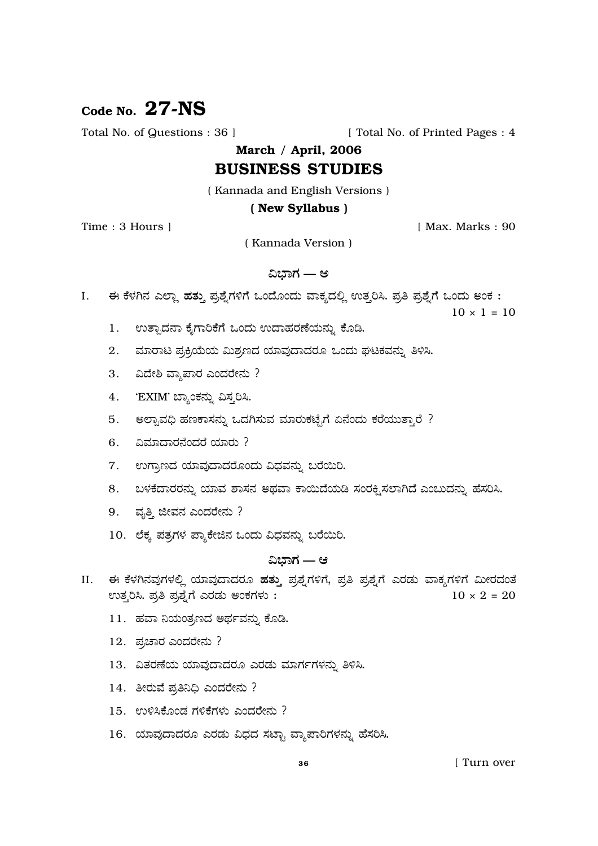# Code No.  $27-NS$

Total No. of Questions : 36 ]

[ Total No. of Printed Pages : 4

March / April, 2006

# **BUSINESS STUDIES**

(Kannada and English Versions)

#### (New Syllabus)

Time: 3 Hours 1

[ Max. Marks: 90

(Kannada Version)

### ವಿಭಾಗ — ಅ

ಈ ಕೆಳಗಿನ ಎಲ್ಲಾ ಹತ್ತು ಪ್ರಶ್ನೆಗಳಿಗೆ ಒಂದೊಂದು ವಾಕ್ಯದಲ್ಲಿ ಉತ್ತರಿಸಿ. ಪ್ರತಿ ಪ್ರಶ್ನೆಗೆ ಒಂದು ಅಂಕ :  $\mathbf{I}$ .

 $10 \times 1 = 10$ 

- ಉತ್ಪಾದನಾ ಕೈಗಾರಿಕೆಗೆ ಒಂದು ಉದಾಹರಣೆಯನ್ನು ಕೊಡಿ. 1.
- 2. ಮಾರಾಟ ಪ್ರಕ್ರಿಯೆಯ ಮಿಶ್ರಣದ ಯಾವುದಾದರೂ ಒಂದು ಘಟಕವನ್ನು ತಿಳಿಸಿ.
- ವಿದೇಶಿ ವ್ಯಾಪಾರ ಎಂದರೇನು ?  $3.$
- 'EXIM' ಬ್ಯಾಂಕನ್ನು ವಿಸ್ತರಿಸಿ. 4.
- ಅಲ್ಖಾವಧಿ ಹಣಕಾಸನ್ನು ಒದಗಿಸುವ ಮಾರುಕಟೈಗೆ ಏನೆಂದು ಕರೆಯುತ್ತಾರೆ ? 5.
- 6. ವಿಮಾದಾರನೆಂದರೆ ಯಾರು?
- 7. ಉಗ್ರಾಣದ ಯಾವುದಾದರೊಂದು ವಿಧವನ್ನು ಬರೆಯಿರಿ.
- 8. ಬಳಕೆದಾರರನ್ನು ಯಾವ ಶಾಸನ ಅಥವಾ ಕಾಯಿದೆಯಡಿ ಸಂರಕ್ಷಿಸಲಾಗಿದೆ ಎಂಬುದನ್ನು ಹೆಸರಿಸಿ.
- 9. ವೃತ್ತಿ ಜೀವನ ಎಂದರೇನು ?
- 10. ಲೆಕ್ಕ ಪತ್ರಗಳ ಪ್ಯಾಕೇಜಿನ ಒಂದು ವಿಧವನ್ನು ಬರೆಯಿರಿ.

## ವಿಭಾಗ — ಆ

- ಈ ಕೆಳಗಿನವುಗಳಲ್ಲಿ ಯಾವುದಾದರೂ ಹತ್ತು ಪ್ರಶ್ನೆಗಳಿಗೆ, ಪ್ರತಿ ಪ್ರಶ್ನೆಗೆ ಎರಡು ವಾಕ್ಯಗಳಿಗೆ ಮೀರದಂತೆ II. ಉತ್ತರಿಸಿ. ಪ್ರತಿ ಪ್ರಶ್ನೆಗೆ ಎರಡು ಅಂಕಗಳು :  $10 \times 2 = 20$ 
	- 11. ಹವಾ ನಿಯಂತ್ರಣದ ಅರ್ಥವನ್ನು ಕೊಡಿ.
	- 12. ಪ್ರಚಾರ ಎಂದರೇನು ?
	- 13. ವಿತರಣೆಯ ಯಾವುದಾದರೂ ಎರಡು ಮಾರ್ಗಗಳನ್ನು ತಿಳಿಸಿ.
	- 14. ತೀರುವೆ ಪ್ರತಿನಿಧಿ ಎಂದರೇನು ?
	- 15. ಉಳಿಸಿಕೊಂಡ ಗಳಿಕೆಗಳು ಎಂದರೇನು?
	- 16. ಯಾವುದಾದರೂ ಎರಡು ವಿಧದ ಸಟ್ಟಾ ವ್ಯಾಪಾರಿಗಳನ್ನು ಹೆಸರಿಸಿ.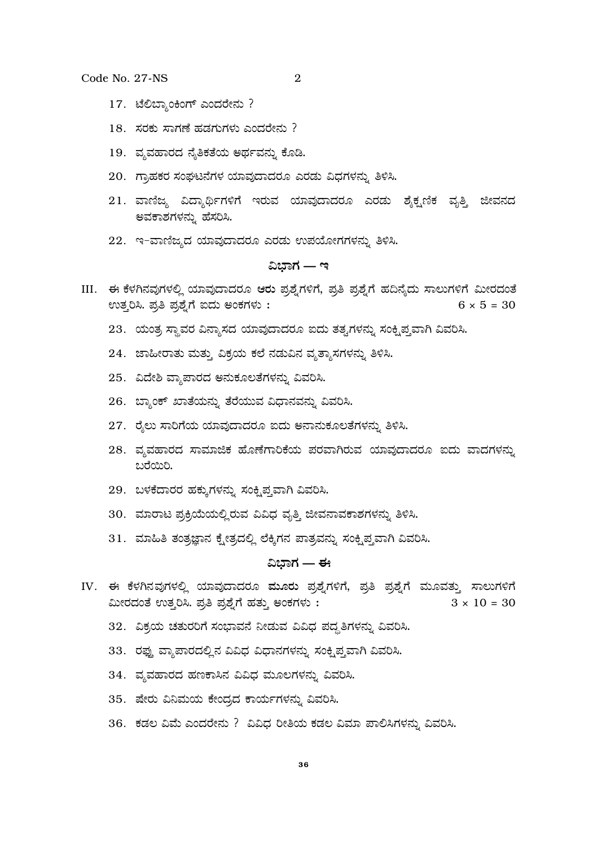- $\overline{2}$
- 17. ಟೆಲಿಬ್ಯಾಂಕಿಂಗ್ ಎಂದರೇನು ?
- $18.$  ಸರಕು ಸಾಗಣೆ ಹಡಗುಗಳು ಎಂದರೇನು?
- 19. ವೃವಹಾರದ ನೈತಿಕತೆಯ ಅರ್ಥವನ್ನು ಕೊಡಿ.
- 20. ಗ್ರಾಹಕರ ಸಂಘಟನೆಗಳ ಯಾವುದಾದರೂ ಎರಡು ವಿಧಗಳನ್ನು ತಿಳಿಸಿ.
- 21. ವಾಣಿಜ್ಯ ವಿದ್ಯಾರ್ಥಿಗಳಿಗೆ ಇರುವ ಯಾವುದಾದರೂ ಎರಡು ಶ್ನೆಕ್ಟಣಿಕ ವೃತ್ತಿ ಜೀವನದ ಅವಕಾಶಗಳನ್ನು ಹೆಸರಿಸಿ.
- 22. ಇ-ವಾಣಿಜ್ಯದ ಯಾವುದಾದರೂ ಎರಡು ಉಪಯೋಗಗಳನ್ನು ತಿಳಿಸಿ.

#### ವಿಭಾಗ — ಇ

- III. ಈ ಕೆಳಗಿನವುಗಳಲ್ಲಿ ಯಾವುದಾದರೂ ಆರು ಪ್ರಶ್ನೆಗಳಿಗೆ, ಪ್ರತಿ ಪ್ರಶ್ನೆಗೆ ಹದಿನ್ಯೆದು ಸಾಲುಗಳಿಗೆ ಮೀರದಂತೆ ಉತ್ತರಿಸಿ. ಪ್ರತಿ ಪ್ರಶ್ನೆಗೆ ಐದು ಅಂಕಗಳು:  $6 \times 5 = 30$ 
	- 23. ಯಂತ್ರ ಸ್ಥಾವರ ವಿನ್ಯಾಸದ ಯಾವುದಾದರೂ ಐದು ತತ್ವಗಳನ್ನು ಸಂಕ್ಷಿಪ್ತವಾಗಿ ವಿವರಿಸಿ.
	- 24. ಜಾಹೀರಾತು ಮತ್ತು ವಿಕ್ರಯ ಕಲೆ ನಡುವಿನ ವ್ಯತ್ಯಾಸಗಳನ್ನು ತಿಳಿಸಿ.
	- 25. ವಿದೇಶಿ ವ್ಯಾಪಾರದ ಅನುಕೂಲತೆಗಳನ್ನು ವಿವರಿಸಿ.
	- 26. ಬ್ಯಾಂಕ್ ಖಾತೆಯನ್ನು ತೆರೆಯುವ ವಿಧಾನವನ್ನು ವಿವರಿಸಿ.
	- 27. ರೈಲು ಸಾರಿಗೆಯ ಯಾವುದಾದರೂ ಐದು ಅನಾನುಕೂಲತೆಗಳನ್ನು ತಿಳಿಸಿ.
	- 28. ವ್ಯವಹಾರದ ಸಾಮಾಜಿಕ ಹೊಣೆಗಾರಿಕೆಯ ಪರವಾಗಿರುವ ಯಾವುದಾದರೂ ಐದು ವಾದಗಳನ್ನು ಬರೆಯಿರಿ.
	- 29. ಬಳಕೆದಾರರ ಹಕ್ಕುಗಳನ್ನು ಸಂಕ್ಷಿಪ್ತವಾಗಿ ವಿವರಿಸಿ.
	- 30. ಮಾರಾಟ ಪ್ರಕ್ರಿಯೆಯಲ್ಲಿರುವ ವಿವಿಧ ವೃತ್ತಿ ಜೀವನಾವಕಾಶಗಳನ್ನು ತಿಳಿಸಿ.
	- 31. ಮಾಹಿತಿ ತಂತ್ರಜ್ಞಾನ ಕ್ಷೇತ್ರದಲ್ಲಿ ಲೆಕ್ಕಿಗನ ಪಾತ್ರವನ್ನು ಸಂಕ್ಷಿಪ್ತವಾಗಿ ವಿವರಿಸಿ.

#### ವಿಭಾಗ — ಈ

- IV. ಈ ಕೆಳಗಿನವುಗಳಲ್ಲಿ ಯಾವುದಾದರೂ ಮೂರು ಪ್ರಶ್ನೆಗಳಿಗೆ, ಪ್ರತಿ ಪ್ರಶ್ನೆಗೆ ಮೂವತ್ತು ಸಾಲುಗಳಿಗೆ  $3 \times 10 = 30$ ಮೀರದಂತೆ ಉತ್ತರಿಸಿ. ಪ್ರತಿ ಪ್ರಶ್ನೆಗೆ ಹತ್ತು ಅಂಕಗಳು:
	- 32. ವಿಕ್ರಯ ಚತುರರಿಗೆ ಸಂಭಾವನೆ ನೀಡುವ ವಿವಿಧ ಪದ್ಧತಿಗಳನ್ನು ವಿವರಿಸಿ.
	- 33. ರಫ್ತು ವ್ಯಾಪಾರದಲ್ಲಿನ ವಿವಿಧ ವಿಧಾನಗಳನ್ನು ಸಂಕ್ಷಿಪ್ತವಾಗಿ ವಿವರಿಸಿ.
	- 34. ವ್ಯವಹಾರದ ಹಣಕಾಸಿನ ವಿವಿಧ ಮೂಲಗಳನ್ನು ವಿವರಿಸಿ.
	- 35. ಷೇರು ವಿನಿಮಯ ಕೇಂದ್ರದ ಕಾರ್ಯಗಳನ್ನು ವಿವರಿಸಿ.
	- 36. ಕಡಲ ವಿಮೆ ಎಂದರೇನು ? ವಿವಿಧ ರೀತಿಯ ಕಡಲ ವಿಮಾ ಪಾಲಿಸಿಗಳನ್ನು ವಿವರಿಸಿ.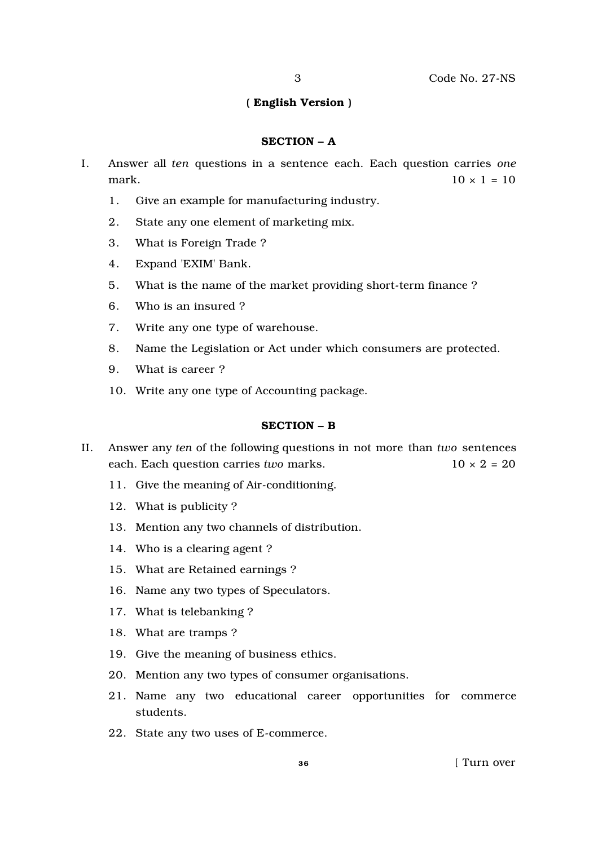#### ( English Version )

#### SECTION – A

- I. Answer all *ten* questions in a sentence each. Each question carries *one* mark.  $10 \times 1 = 10$ 
	- 1. Give an example for manufacturing industry.
	- 2. State any one element of marketing mix.
	- 3. What is Foreign Trade ?
	- 4. Expand 'EXIM' Bank.
	- 5. What is the name of the market providing short-term finance ?
	- 6. Who is an insured ?
	- 7. Write any one type of warehouse.
	- 8. Name the Legislation or Act under which consumers are protected.
	- 9. What is career ?
	- 10. Write any one type of Accounting package.

#### SECTION – B

- II. Answer any *ten* of the following questions in not more than *two* sentences each. Each question carries *two* marks. 10 × 2 = 20
	- 11. Give the meaning of Air-conditioning.
	- 12. What is publicity ?
	- 13. Mention any two channels of distribution.
	- 14. Who is a clearing agent ?
	- 15. What are Retained earnings ?
	- 16. Name any two types of Speculators.
	- 17. What is telebanking ?
	- 18. What are tramps ?
	- 19. Give the meaning of business ethics.
	- 20. Mention any two types of consumer organisations.
	- 21. Name any two educational career opportunities for commerce students.
	- 22. State any two uses of E-commerce.